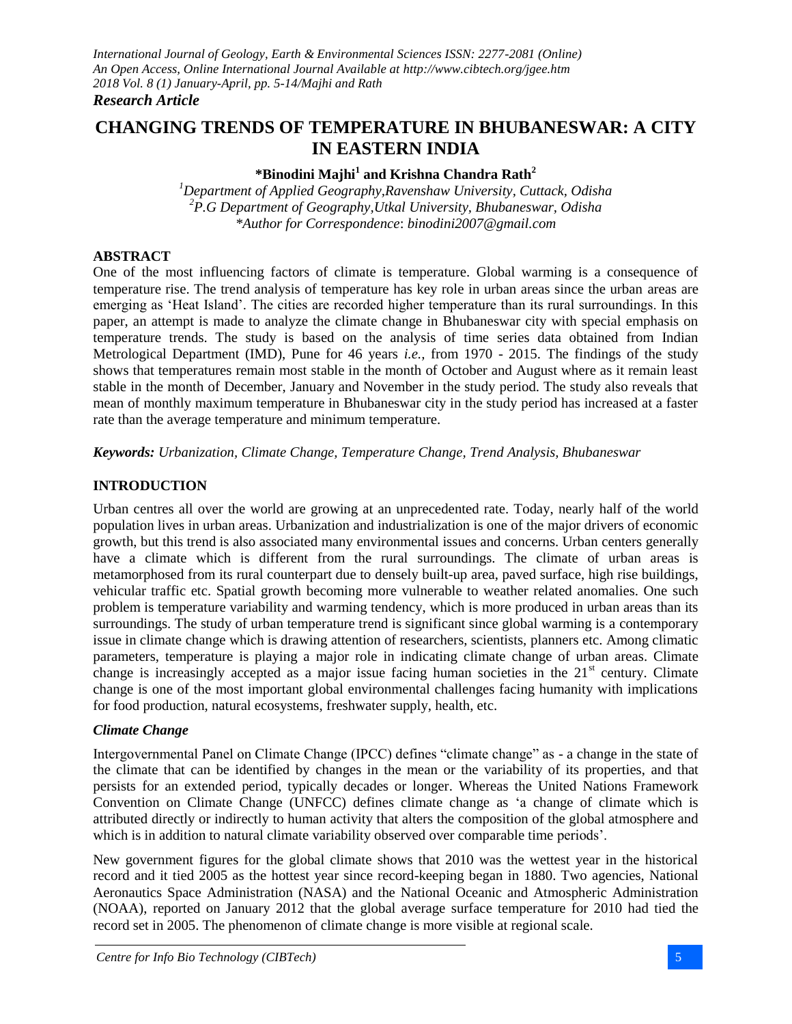# **CHANGING TRENDS OF TEMPERATURE IN BHUBANESWAR: A CITY IN EASTERN INDIA**

# **\*Binodini Majhi<sup>1</sup> and Krishna Chandra Rath<sup>2</sup>**

*<sup>1</sup>Department of Applied Geography,Ravenshaw University, Cuttack, Odisha <sup>2</sup>P.G Department of Geography,Utkal University, Bhubaneswar, Odisha \*Author for Correspondence*: *binodini2007@gmail.com*

#### **ABSTRACT**

One of the most influencing factors of climate is temperature. Global warming is a consequence of temperature rise. The trend analysis of temperature has key role in urban areas since the urban areas are emerging as 'Heat Island'. The cities are recorded higher temperature than its rural surroundings. In this paper, an attempt is made to analyze the climate change in Bhubaneswar city with special emphasis on temperature trends. The study is based on the analysis of time series data obtained from Indian Metrological Department (IMD), Pune for 46 years *i.e.,* from 1970 - 2015. The findings of the study shows that temperatures remain most stable in the month of October and August where as it remain least stable in the month of December, January and November in the study period. The study also reveals that mean of monthly maximum temperature in Bhubaneswar city in the study period has increased at a faster rate than the average temperature and minimum temperature.

*Keywords: Urbanization, Climate Change, Temperature Change, Trend Analysis, Bhubaneswar*

## **INTRODUCTION**

Urban centres all over the world are growing at an unprecedented rate. Today, nearly half of the world population lives in urban areas. Urbanization and industrialization is one of the major drivers of economic growth, but this trend is also associated many environmental issues and concerns. Urban centers generally have a climate which is different from the rural surroundings. The climate of urban areas is metamorphosed from its rural counterpart due to densely built-up area, paved surface, high rise buildings, vehicular traffic etc. Spatial growth becoming more vulnerable to weather related anomalies. One such problem is temperature variability and warming tendency, which is more produced in urban areas than its surroundings. The study of urban temperature trend is significant since global warming is a contemporary issue in climate change which is drawing attention of researchers, scientists, planners etc. Among climatic parameters, temperature is playing a major role in indicating climate change of urban areas. Climate change is increasingly accepted as a major issue facing human societies in the  $21<sup>st</sup>$  century. Climate change is one of the most important global environmental challenges facing humanity with implications for food production, natural ecosystems, freshwater supply, health, etc.

## *Climate Change*

Intergovernmental Panel on Climate Change (IPCC) defines "climate change" as - a change in the state of the climate that can be identified by changes in the mean or the variability of its properties, and that persists for an extended period, typically decades or longer. Whereas the United Nations Framework Convention on Climate Change (UNFCC) defines climate change as 'a change of climate which is attributed directly or indirectly to human activity that alters the composition of the global atmosphere and which is in addition to natural climate variability observed over comparable time periods'.

New government figures for the global climate shows that 2010 was the wettest year in the historical record and it tied 2005 as the hottest year since record-keeping began in 1880. Two agencies, National Aeronautics Space Administration (NASA) and the National Oceanic and Atmospheric Administration (NOAA), reported on January 2012 that the global average surface temperature for 2010 had tied the record set in 2005. The phenomenon of climate change is more visible at regional scale.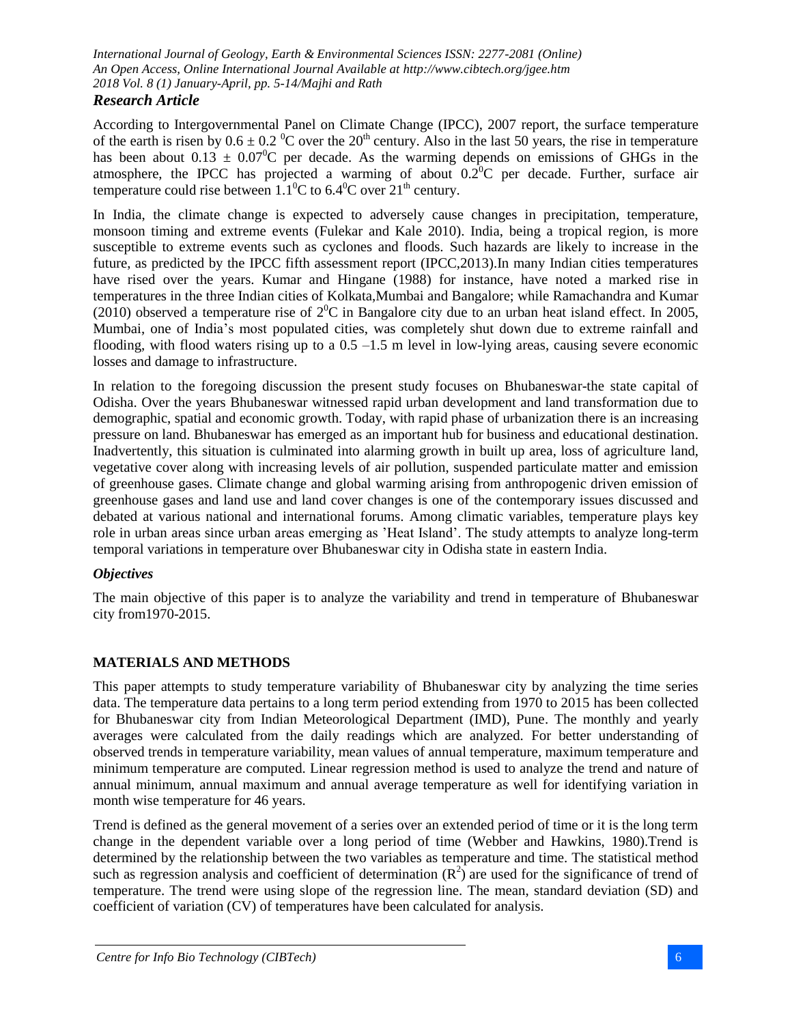## *Research Article*

According to Intergovernmental Panel on Climate Change (IPCC), 2007 report, the surface temperature of the earth is risen by  $0.6 \pm 0.2$  °C over the 20<sup>th</sup> century. Also in the last 50 years, the rise in temperature has been about  $0.13 \pm 0.07^{\circ}$ C per decade. As the warming depends on emissions of GHGs in the atmosphere, the IPCC has projected a warming of about  $0.2^{\circ}$ C per decade. Further, surface air temperature could rise between  $1.1^{\circ}$ C to 6.4<sup>o</sup>C over  $21^{\text{th}}$  century.

In India, the climate change is expected to adversely cause changes in precipitation, temperature, monsoon timing and extreme events (Fulekar and Kale 2010). India, being a tropical region, is more susceptible to extreme events such as cyclones and floods. Such hazards are likely to increase in the future, as predicted by the IPCC fifth assessment report (IPCC,2013).In many Indian cities temperatures have rised over the years. Kumar and Hingane (1988) for instance, have noted a marked rise in temperatures in the three Indian cities of Kolkata,Mumbai and Bangalore; while Ramachandra and Kumar (2010) observed a temperature rise of  $2^0C$  in Bangalore city due to an urban heat island effect. In 2005, Mumbai, one of India's most populated cities, was completely shut down due to extreme rainfall and flooding, with flood waters rising up to a  $0.5 -1.5$  m level in low-lying areas, causing severe economic losses and damage to infrastructure.

In relation to the foregoing discussion the present study focuses on Bhubaneswar-the state capital of Odisha. Over the years Bhubaneswar witnessed rapid urban development and land transformation due to demographic, spatial and economic growth. Today, with rapid phase of urbanization there is an increasing pressure on land. Bhubaneswar has emerged as an important hub for business and educational destination. Inadvertently, this situation is culminated into alarming growth in built up area, loss of agriculture land, vegetative cover along with increasing levels of air pollution, suspended particulate matter and emission of greenhouse gases. Climate change and global warming arising from anthropogenic driven emission of greenhouse gases and land use and land cover changes is one of the contemporary issues discussed and debated at various national and international forums. Among climatic variables, temperature plays key role in urban areas since urban areas emerging as 'Heat Island'. The study attempts to analyze long-term temporal variations in temperature over Bhubaneswar city in Odisha state in eastern India.

## *Objectives*

The main objective of this paper is to analyze the variability and trend in temperature of Bhubaneswar city from1970-2015.

## **MATERIALS AND METHODS**

This paper attempts to study temperature variability of Bhubaneswar city by analyzing the time series data. The temperature data pertains to a long term period extending from 1970 to 2015 has been collected for Bhubaneswar city from Indian Meteorological Department (IMD), Pune. The monthly and yearly averages were calculated from the daily readings which are analyzed. For better understanding of observed trends in temperature variability, mean values of annual temperature, maximum temperature and minimum temperature are computed. Linear regression method is used to analyze the trend and nature of annual minimum, annual maximum and annual average temperature as well for identifying variation in month wise temperature for 46 years.

Trend is defined as the general movement of a series over an extended period of time or it is the long term change in the dependent variable over a long period of time (Webber and Hawkins, 1980).Trend is determined by the relationship between the two variables as temperature and time. The statistical method such as regression analysis and coefficient of determination  $(R^2)$  are used for the significance of trend of temperature. The trend were using slope of the regression line. The mean, standard deviation (SD) and coefficient of variation (CV) of temperatures have been calculated for analysis.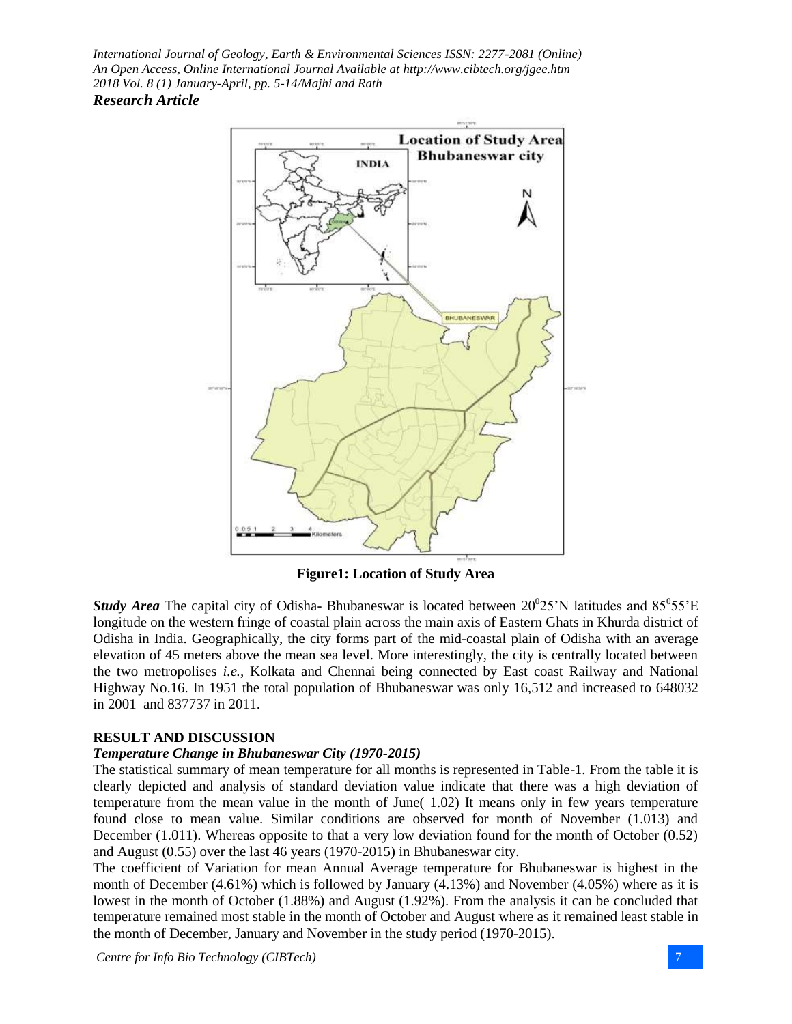

**Figure1: Location of Study Area**

**Study Area** The capital city of Odisha-Bhubaneswar is located between  $20^{\circ}25$ 'N latitudes and  $85^{\circ}55^{\circ}E$ longitude on the western fringe of coastal plain across the main axis of Eastern Ghats in Khurda district of Odisha in India. Geographically, the city forms part of the mid-coastal plain of Odisha with an average elevation of 45 meters above the mean sea level. More interestingly, the city is centrally located between the two metropolises *i.e.,* Kolkata and Chennai being connected by East coast Railway and National Highway No.16. In 1951 the total population of Bhubaneswar was only 16,512 and increased to 648032 in 2001 and 837737 in 2011.

## **RESULT AND DISCUSSION**

#### *Temperature Change in Bhubaneswar City (1970-2015)*

The statistical summary of mean temperature for all months is represented in Table-1. From the table it is clearly depicted and analysis of standard deviation value indicate that there was a high deviation of temperature from the mean value in the month of June( 1.02) It means only in few years temperature found close to mean value. Similar conditions are observed for month of November (1.013) and December (1.011). Whereas opposite to that a very low deviation found for the month of October (0.52) and August (0.55) over the last 46 years (1970-2015) in Bhubaneswar city.

The coefficient of Variation for mean Annual Average temperature for Bhubaneswar is highest in the month of December (4.61%) which is followed by January (4.13%) and November (4.05%) where as it is lowest in the month of October (1.88%) and August (1.92%). From the analysis it can be concluded that temperature remained most stable in the month of October and August where as it remained least stable in the month of December, January and November in the study period (1970-2015).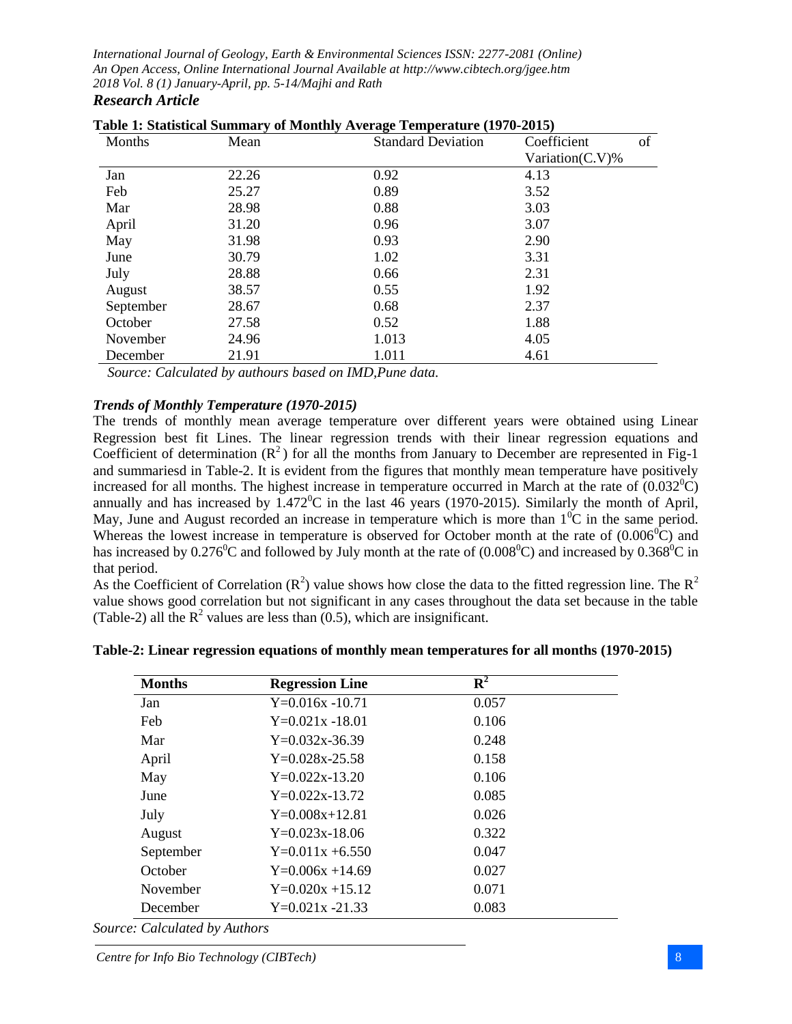| Months    | Mean  | <b>Standard Deviation</b> | of<br>Coefficient   |  |
|-----------|-------|---------------------------|---------------------|--|
|           |       |                           | Variation $(C.V)$ % |  |
| Jan       | 22.26 | 0.92                      | 4.13                |  |
| Feb       | 25.27 | 0.89                      | 3.52                |  |
| Mar       | 28.98 | 0.88                      | 3.03                |  |
| April     | 31.20 | 0.96                      | 3.07                |  |
| May       | 31.98 | 0.93                      | 2.90                |  |
| June      | 30.79 | 1.02                      | 3.31                |  |
| July      | 28.88 | 0.66                      | 2.31                |  |
| August    | 38.57 | 0.55                      | 1.92                |  |
| September | 28.67 | 0.68                      | 2.37                |  |
| October   | 27.58 | 0.52<br>1.88              |                     |  |
| November  | 24.96 | 1.013                     | 4.05                |  |
| December  | 21.91 | 1.011                     | 4.61                |  |

| Table 1: Statistical Summary of Monthly Average Temperature (1970-2015) |  |  |
|-------------------------------------------------------------------------|--|--|
|                                                                         |  |  |

 *Source: Calculated by authours based on IMD,Pune data.*

#### *Trends of Monthly Temperature (1970-2015)*

The trends of monthly mean average temperature over different years were obtained using Linear Regression best fit Lines. The linear regression trends with their linear regression equations and Coefficient of determination  $(R^2)$  for all the months from January to December are represented in Fig-1 and summariesd in Table-2. It is evident from the figures that monthly mean temperature have positively increased for all months. The highest increase in temperature occurred in March at the rate of  $(0.032^{\circ}C)$ annually and has increased by  $1.472^{\circ}$ C in the last 46 years (1970-2015). Similarly the month of April, May, June and August recorded an increase in temperature which is more than  $1^{0}C$  in the same period. Whereas the lowest increase in temperature is observed for October month at the rate of  $(0.006\degree C)$  and has increased by  $0.276^{\circ}$ C and followed by July month at the rate of  $(0.008^{\circ}$ C) and increased by  $0.368^{\circ}$ C in that period.

As the Coefficient of Correlation ( $\mathbb{R}^2$ ) value shows how close the data to the fitted regression line. The  $\mathbb{R}^2$ value shows good correlation but not significant in any cases throughout the data set because in the table (Table-2) all the  $R^2$  values are less than (0.5), which are insignificant.

| <b>Months</b> | <b>Regression Line</b> | $\mathbf{R}^2$ |  |
|---------------|------------------------|----------------|--|
| Jan           | $Y=0.016x -10.71$      | 0.057          |  |
| Feb           | $Y=0.021x -18.01$      | 0.106          |  |
| Mar           | $Y=0.032x-36.39$       | 0.248          |  |
| April         | $Y=0.028x-25.58$       | 0.158          |  |
| May           | $Y=0.022x-13.20$       | 0.106          |  |
| June          | $Y=0.022x-13.72$       | 0.085          |  |
| July          | $Y=0.008x+12.81$       | 0.026          |  |
| August        | $Y=0.023x-18.06$       | 0.322          |  |
| September     | $Y=0.011x + 6.550$     | 0.047          |  |
| October       | $Y=0.006x +14.69$      | 0.027          |  |
| November      | $Y=0.020x +15.12$      | 0.071          |  |
| December      | $Y=0.021x - 21.33$     | 0.083          |  |

**Table-2: Linear regression equations of monthly mean temperatures for all months (1970-2015)**

*Source: Calculated by Authors*

*Centre for Info Bio Technology (CIBTech)* 8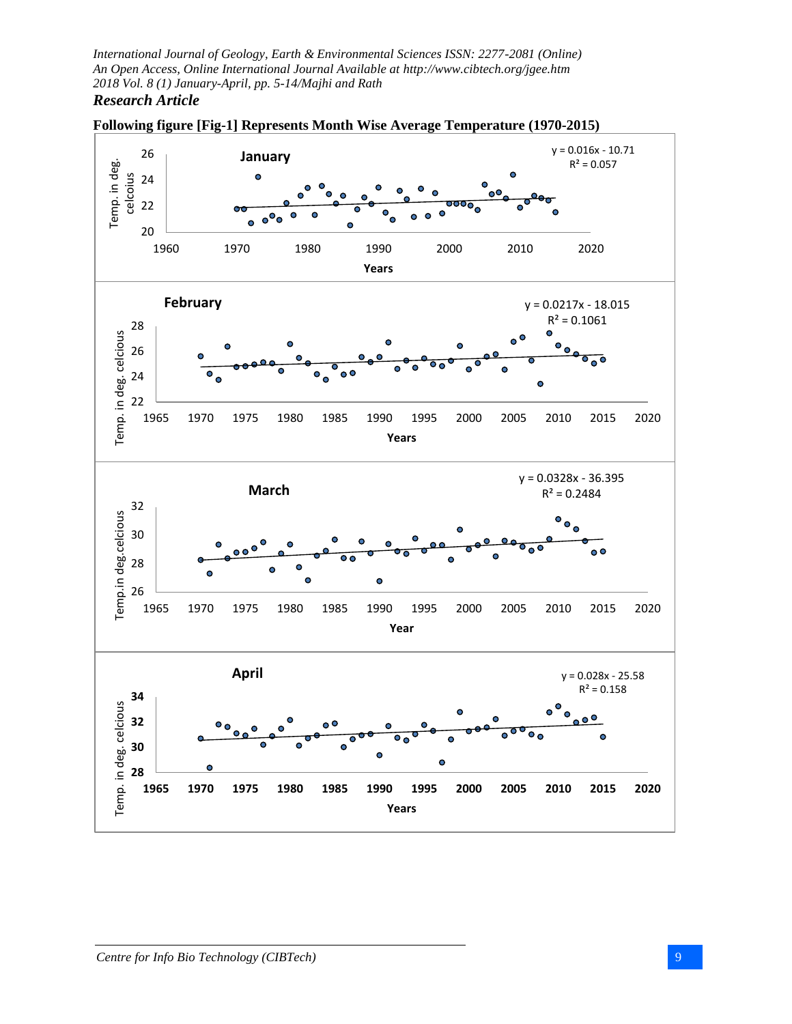

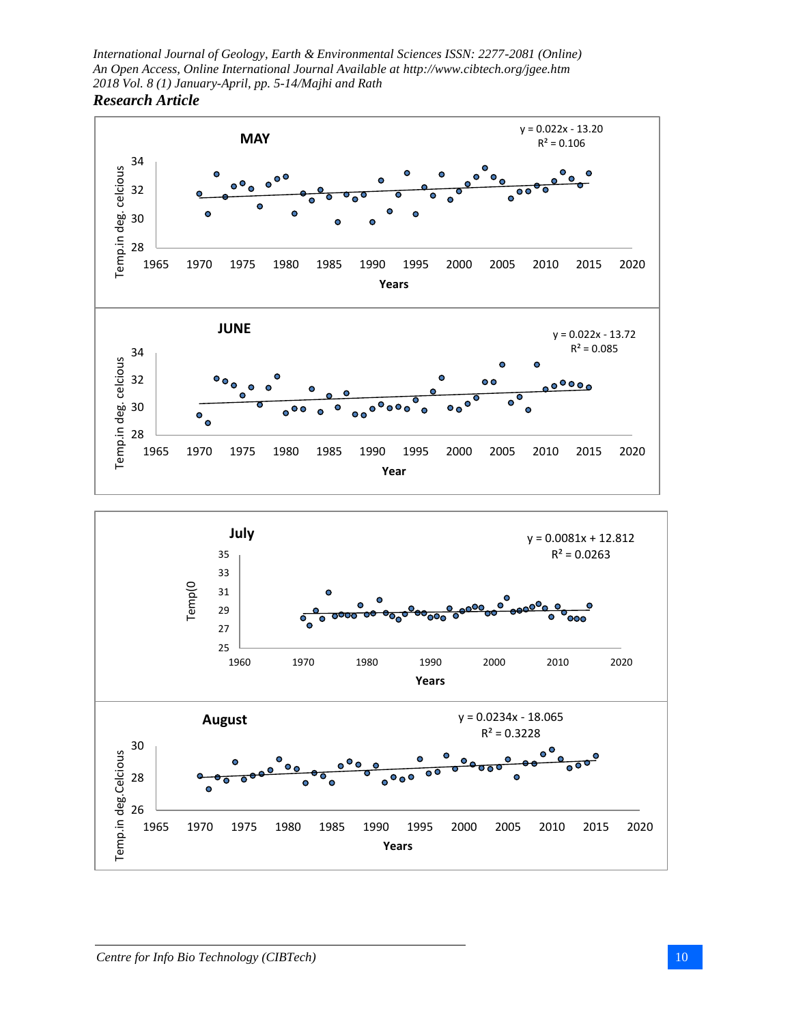



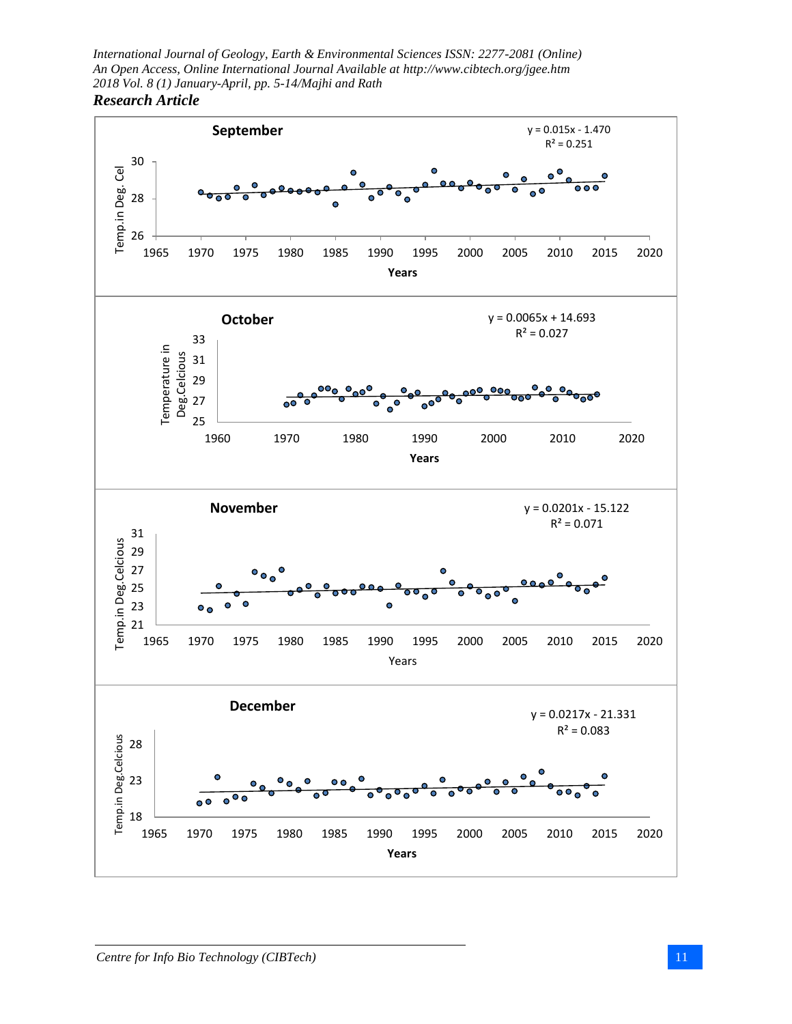

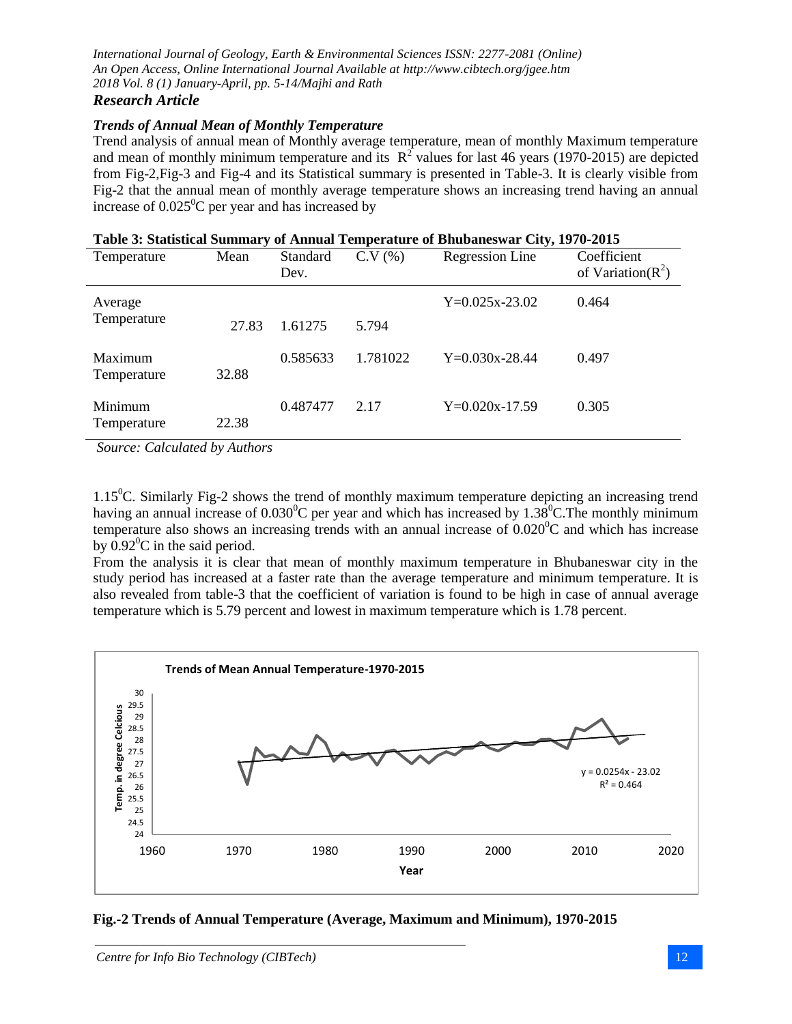# *Research Article*

#### *Trends of Annual Mean of Monthly Temperature*

Trend analysis of annual mean of Monthly average temperature, mean of monthly Maximum temperature and mean of monthly minimum temperature and its  $R^2$  values for last 46 years (1970-2015) are depicted from Fig-2,Fig-3 and Fig-4 and its Statistical summary is presented in Table-3. It is clearly visible from Fig-2 that the annual mean of monthly average temperature shows an increasing trend having an annual increase of  $0.025^{\circ}$ C per year and has increased by

|  | Table 3: Statistical Summary of Annual Temperature of Bhubaneswar City, 1970-2015 |
|--|-----------------------------------------------------------------------------------|
|  |                                                                                   |

| Temperature            | Mean  | Standard<br>Dev. | C.V(%)   | Regression Line  | Coefficient<br>of Variation( $R^2$ ) |
|------------------------|-------|------------------|----------|------------------|--------------------------------------|
| Average                |       |                  |          | $Y=0.025x-23.02$ | 0.464                                |
| Temperature            | 27.83 | 1.61275          | 5.794    |                  |                                      |
| Maximum<br>Temperature | 32.88 | 0.585633         | 1.781022 | $Y=0.030x-28.44$ | 0.497                                |
| Minimum<br>Temperature | 22.38 | 0.487477         | 2.17     | $Y=0.020x-17.59$ | 0.305                                |

*Source: Calculated by Authors*

 $1.15^{\circ}$ C. Similarly Fig-2 shows the trend of monthly maximum temperature depicting an increasing trend having an annual increase of  $0.030^{\circ}$ C per year and which has increased by 1.38<sup>°</sup>C. The monthly minimum temperature also shows an increasing trends with an annual increase of  $0.020^{\circ}$ C and which has increase by  $0.92^{\circ}$ C in the said period.

From the analysis it is clear that mean of monthly maximum temperature in Bhubaneswar city in the study period has increased at a faster rate than the average temperature and minimum temperature. It is also revealed from table-3 that the coefficient of variation is found to be high in case of annual average temperature which is 5.79 percent and lowest in maximum temperature which is 1.78 percent.



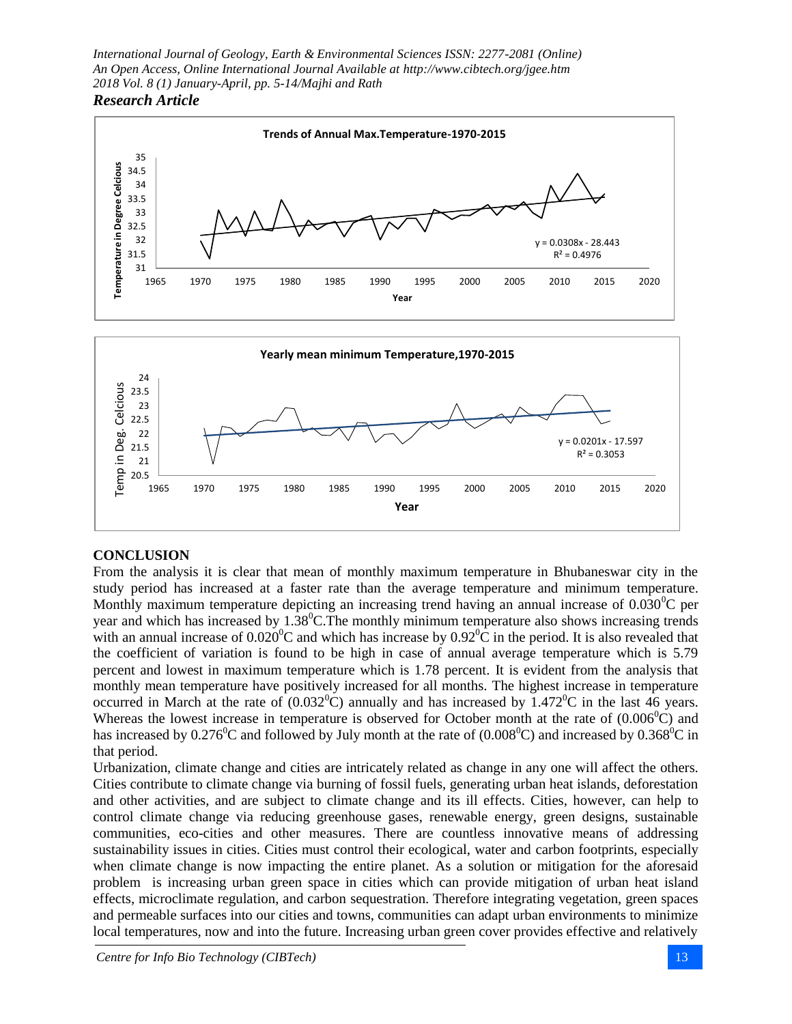



## **CONCLUSION**

From the analysis it is clear that mean of monthly maximum temperature in Bhubaneswar city in the study period has increased at a faster rate than the average temperature and minimum temperature. Monthly maximum temperature depicting an increasing trend having an annual increase of  $0.030^{\circ}$ C per year and which has increased by  $1.38^{\circ}$ C. The monthly minimum temperature also shows increasing trends with an annual increase of  $0.020^{\circ}$ C and which has increase by  $0.92^{\circ}$ C in the period. It is also revealed that the coefficient of variation is found to be high in case of annual average temperature which is 5.79 percent and lowest in maximum temperature which is 1.78 percent. It is evident from the analysis that monthly mean temperature have positively increased for all months. The highest increase in temperature occurred in March at the rate of  $(0.032^{\circ}C)$  annually and has increased by 1.472<sup>o</sup>C in the last 46 years. Whereas the lowest increase in temperature is observed for October month at the rate of  $(0.006^{\circ}C)$  and has increased by  $0.276^{\circ}$ C and followed by July month at the rate of  $(0.008^{\circ}$ C) and increased by  $0.368^{\circ}$ C in that period.

Urbanization, climate change and cities are intricately related as change in any one will affect the others. Cities contribute to climate change via burning of fossil fuels, generating urban heat islands, deforestation and other activities, and are subject to climate change and its ill effects. Cities, however, can help to control climate change via reducing greenhouse gases, renewable energy, green designs, sustainable communities, eco-cities and other measures. There are countless innovative means of addressing sustainability issues in cities. Cities must control their ecological, water and carbon footprints, especially when climate change is now impacting the entire planet. As a solution or mitigation for the aforesaid problem is increasing urban green space in cities which can provide mitigation of urban heat island effects, microclimate regulation, and carbon sequestration. Therefore integrating vegetation, green spaces and permeable surfaces into our cities and towns, communities can adapt urban environments to minimize local temperatures, now and into the future. Increasing urban green cover provides effective and relatively